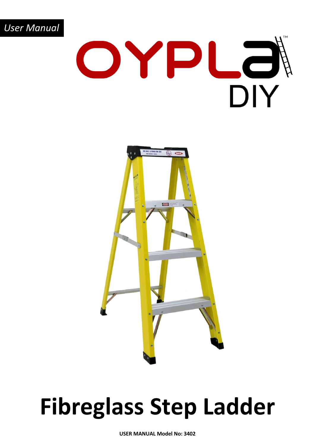



### **Fibreglass Step Ladder**

**USER MANUAL Model No: 3402**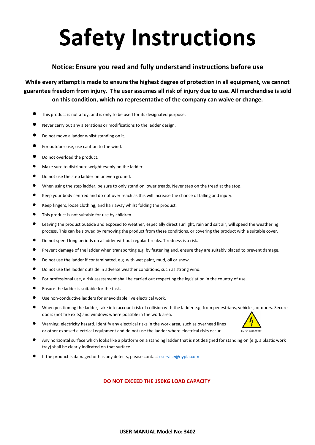# **Safety Instructions**

### **Notice: Ensure you read and fully understand instructions before use**

**While every attempt is made to ensure the highest degree of protection in all equipment, we cannot guarantee freedom from injury. The user assumes all risk of injury due to use. All merchandise is sold on this condition, which no representative of the company can waive or change.**

- This product is not a toy, and is only to be used for its designated purpose.
- Never carry out any alterations or modifications to the ladder design.
- Do not move a ladder whilst standing on it.
- For outdoor use, use caution to the wind.
- Do not overload the product.
- Make sure to distribute weight evenly on the ladder.
- Do not use the step ladder on uneven ground.
- When using the step ladder, be sure to only stand on lower treads. Never step on the tread at the stop.
- Keep your body centred and do not over reach as this will increase the chance of falling and injury.
- Keep fingers, loose clothing, and hair away whilst folding the product.
- This product is not suitable for use by children.
- Leaving the product outside and exposed to weather, especially direct sunlight, rain and salt air, will speed the weathering process. This can be slowed by removing the product from these conditions, or covering the product with a suitable cover.
- Do not spend long periods on a ladder without regular breaks. Tiredness is a risk.
- Prevent damage of the ladder when transporting e.g. by fastening and, ensure they are suitably placed to prevent damage.
- Do not use the ladder if contaminated, e.g. with wet paint, mud, oil or snow.
- Do not use the ladder outside in adverse weather conditions, such as strong wind.
- For professional use, a risk assessment shall be carried out respecting the legislation in the country of use.
- Ensure the ladder is suitable for the task.
- Use non-conductive ladders for unavoidable live electrical work.
- When positioning the ladder, take into account risk of collision with the ladder e.g. from pedestrians, vehicles, or doors. Secure doors (not fire exits) and windows where possible in the work area.
- Warning, electricity hazard. Identify any electrical risks in the work area, such as overhead lines or other exposed electrical equipment and do not use the ladder where electrical risks occur.



- Any horizontal surface which looks like a platform on a standing ladder that is not designed for standing on (e.g. a plastic work tray) shall be clearly indicated on that surface.
- If the product is damaged or has any defects, please contact **cservice@oypla.com**

#### **DO NOT EXCEED THE 150KG LOAD CAPACITY**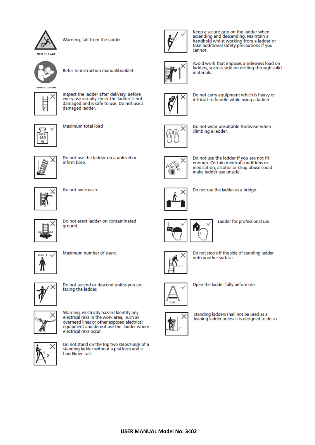

Warning, fall from the ladder.



Refer to instruction manual/booklet



Inspect the ladder after delivery. Before every use visually check the ladder is not damaged and is safe to use. Do not use a damaged ladder.



Maximum total load



Do not use the ladder on a unlevel or infirm base.



Do not overreach.



Do not erect ladder on contaminated ground.



Maximum number of users.



Do not ascend or descend unless you are facing the ladder.



Warning, electricity hazard Identify any electrical risks in the work area, such as overhead lines or other exposed electrical equipment and do not use the ladder where electrical risks occur.



Do not stand on the top two steps/rungs of a standing ladder without a platform and a hand/knee rail.



Keep a secure grip on the ladder when<br>ascending and descending. Maintain a handhold whilst working from a ladder or take additional safety precautions if you cannot.



Avoid work that imposes a sideways load on ladders, such as side-on drilling through solid materials.



Do not carry equipment which is heavy or difficult to handle while using a ladder.



Do not wear unsuitable footwear when climbing a ladder.



Do not use the ladder if you are not fit enough. Certain medical conditions or medication, alcohol or drug abuse could make ladder use unsafe.



Do not use the ladder as a bridge.



Ladder for professional use.



Do not step off the side of standing ladder onto another surface.



Open the ladder fully before use.



Standing ladders shall not be used as a<br>leaning ladder unless it is designed to do so.